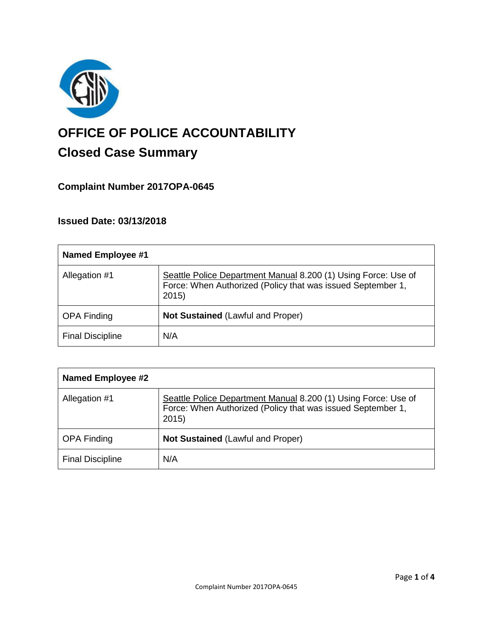

# **OFFICE OF POLICE ACCOUNTABILITY**

# **Closed Case Summary**

## **Complaint Number 2017OPA-0645**

## **Issued Date: 03/13/2018**

| <b>Named Employee #1</b> |                                                                                                                                       |
|--------------------------|---------------------------------------------------------------------------------------------------------------------------------------|
| Allegation #1            | Seattle Police Department Manual 8.200 (1) Using Force: Use of<br>Force: When Authorized (Policy that was issued September 1,<br>2015 |
| <b>OPA Finding</b>       | Not Sustained (Lawful and Proper)                                                                                                     |
| <b>Final Discipline</b>  | N/A                                                                                                                                   |

| <b>Named Employee #2</b> |                                                                                                                                       |
|--------------------------|---------------------------------------------------------------------------------------------------------------------------------------|
| Allegation #1            | Seattle Police Department Manual 8.200 (1) Using Force: Use of<br>Force: When Authorized (Policy that was issued September 1,<br>2015 |
| <b>OPA Finding</b>       | <b>Not Sustained (Lawful and Proper)</b>                                                                                              |
| <b>Final Discipline</b>  | N/A                                                                                                                                   |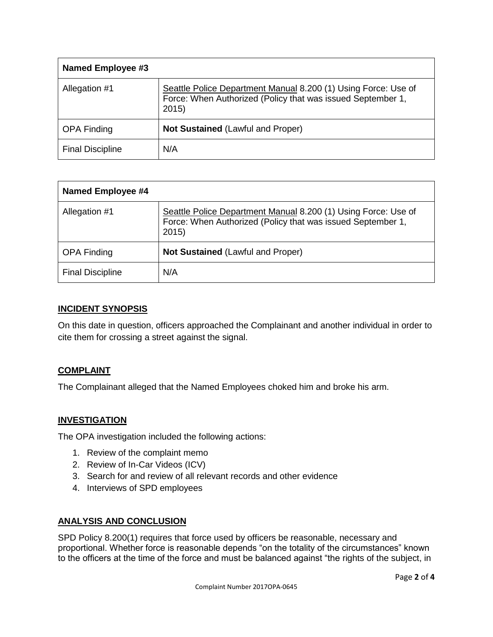| Named Employee #3       |                                                                                                                                       |
|-------------------------|---------------------------------------------------------------------------------------------------------------------------------------|
| Allegation #1           | Seattle Police Department Manual 8.200 (1) Using Force: Use of<br>Force: When Authorized (Policy that was issued September 1,<br>2015 |
| <b>OPA Finding</b>      | <b>Not Sustained (Lawful and Proper)</b>                                                                                              |
| <b>Final Discipline</b> | N/A                                                                                                                                   |

| <b>Named Employee #4</b> |                                                                                                                                       |
|--------------------------|---------------------------------------------------------------------------------------------------------------------------------------|
| Allegation #1            | Seattle Police Department Manual 8.200 (1) Using Force: Use of<br>Force: When Authorized (Policy that was issued September 1,<br>2015 |
| <b>OPA Finding</b>       | <b>Not Sustained (Lawful and Proper)</b>                                                                                              |
| <b>Final Discipline</b>  | N/A                                                                                                                                   |

#### **INCIDENT SYNOPSIS**

On this date in question, officers approached the Complainant and another individual in order to cite them for crossing a street against the signal.

#### **COMPLAINT**

The Complainant alleged that the Named Employees choked him and broke his arm.

#### **INVESTIGATION**

The OPA investigation included the following actions:

- 1. Review of the complaint memo
- 2. Review of In-Car Videos (ICV)
- 3. Search for and review of all relevant records and other evidence
- 4. Interviews of SPD employees

#### **ANALYSIS AND CONCLUSION**

SPD Policy 8.200(1) requires that force used by officers be reasonable, necessary and proportional. Whether force is reasonable depends "on the totality of the circumstances" known to the officers at the time of the force and must be balanced against "the rights of the subject, in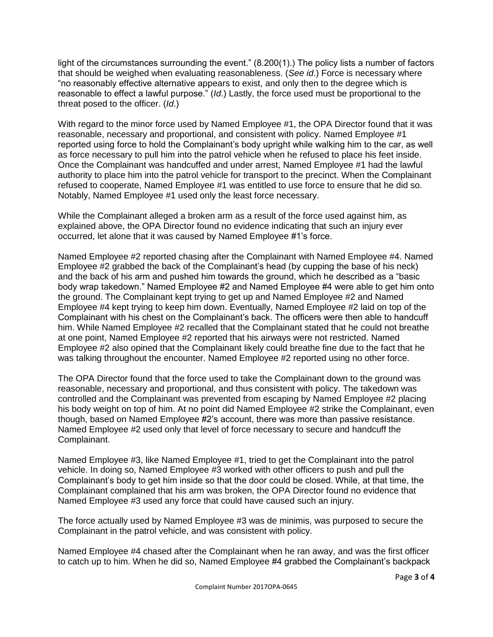light of the circumstances surrounding the event." (8.200(1).) The policy lists a number of factors that should be weighed when evaluating reasonableness. (*See id*.) Force is necessary where "no reasonably effective alternative appears to exist, and only then to the degree which is reasonable to effect a lawful purpose." (*Id*.) Lastly, the force used must be proportional to the threat posed to the officer. (*Id*.)

With regard to the minor force used by Named Employee #1, the OPA Director found that it was reasonable, necessary and proportional, and consistent with policy. Named Employee #1 reported using force to hold the Complainant's body upright while walking him to the car, as well as force necessary to pull him into the patrol vehicle when he refused to place his feet inside. Once the Complainant was handcuffed and under arrest, Named Employee #1 had the lawful authority to place him into the patrol vehicle for transport to the precinct. When the Complainant refused to cooperate, Named Employee #1 was entitled to use force to ensure that he did so. Notably, Named Employee #1 used only the least force necessary.

While the Complainant alleged a broken arm as a result of the force used against him, as explained above, the OPA Director found no evidence indicating that such an injury ever occurred, let alone that it was caused by Named Employee #1's force.

Named Employee #2 reported chasing after the Complainant with Named Employee #4. Named Employee #2 grabbed the back of the Complainant's head (by cupping the base of his neck) and the back of his arm and pushed him towards the ground, which he described as a "basic body wrap takedown." Named Employee #2 and Named Employee #4 were able to get him onto the ground. The Complainant kept trying to get up and Named Employee #2 and Named Employee #4 kept trying to keep him down. Eventually, Named Employee #2 laid on top of the Complainant with his chest on the Complainant's back. The officers were then able to handcuff him. While Named Employee #2 recalled that the Complainant stated that he could not breathe at one point, Named Employee #2 reported that his airways were not restricted. Named Employee #2 also opined that the Complainant likely could breathe fine due to the fact that he was talking throughout the encounter. Named Employee #2 reported using no other force.

The OPA Director found that the force used to take the Complainant down to the ground was reasonable, necessary and proportional, and thus consistent with policy. The takedown was controlled and the Complainant was prevented from escaping by Named Employee #2 placing his body weight on top of him. At no point did Named Employee #2 strike the Complainant, even though, based on Named Employee #2's account, there was more than passive resistance. Named Employee #2 used only that level of force necessary to secure and handcuff the Complainant.

Named Employee #3, like Named Employee #1, tried to get the Complainant into the patrol vehicle. In doing so, Named Employee #3 worked with other officers to push and pull the Complainant's body to get him inside so that the door could be closed. While, at that time, the Complainant complained that his arm was broken, the OPA Director found no evidence that Named Employee #3 used any force that could have caused such an injury.

The force actually used by Named Employee #3 was de minimis, was purposed to secure the Complainant in the patrol vehicle, and was consistent with policy.

Named Employee #4 chased after the Complainant when he ran away, and was the first officer to catch up to him. When he did so, Named Employee #4 grabbed the Complainant's backpack